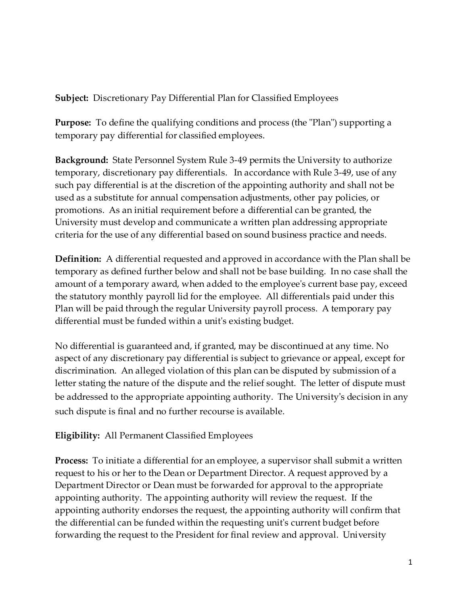**Subject:** Discretionary Pay Differential Plan for Classified Employees

**Purpose:** To define the qualifying conditions and process (the "Plan") supporting a temporary pay differential for classified employees.

**Background:** State Personnel System Rule 3-49 permits the University to authorize temporary, discretionary pay differentials. In accordance with Rule 3-49, use of any such pay differential is at the discretion of the appointing authority and shall not be used as a substitute for annual compensation adjustments, other pay policies, or promotions. As an initial requirement before a differential can be granted, the University must develop and communicate a written plan addressing appropriate criteria for the use of any differential based on sound business practice and needs.

**Definition:** A differential requested and approved in accordance with the Plan shall be temporary as defined further below and shall not be base building. In no case shall the amount of a temporary award, when added to the employee's current base pay, exceed the statutory monthly payroll lid for the employee. All differentials paid under this Plan will be paid through the regular University payroll process. A temporary pay differential must be funded within a unit's existing budget.

No differential is guaranteed and, if granted, may be discontinued at any time. No aspect of any discretionary pay differential is subject to grievance or appeal, except for discrimination. An alleged violation of this plan can be disputed by submission of a letter stating the nature of the dispute and the relief sought. The letter of dispute must be addressed to the appropriate appointing authority. The University's decision in any such dispute is final and no further recourse is available.

**Eligibility:** All Permanent Classified Employees

**Process:** To initiate a differential for an employee, a supervisor shall submit a written request to his or her to the Dean or Department Director. A request approved by a Department Director or Dean must be forwarded for approval to the appropriate appointing authority. The appointing authority will review the request. If the appointing authority endorses the request, the appointing authority will confirm that the differential can be funded within the requesting unit's current budget before forwarding the request to the President for final review and approval. University